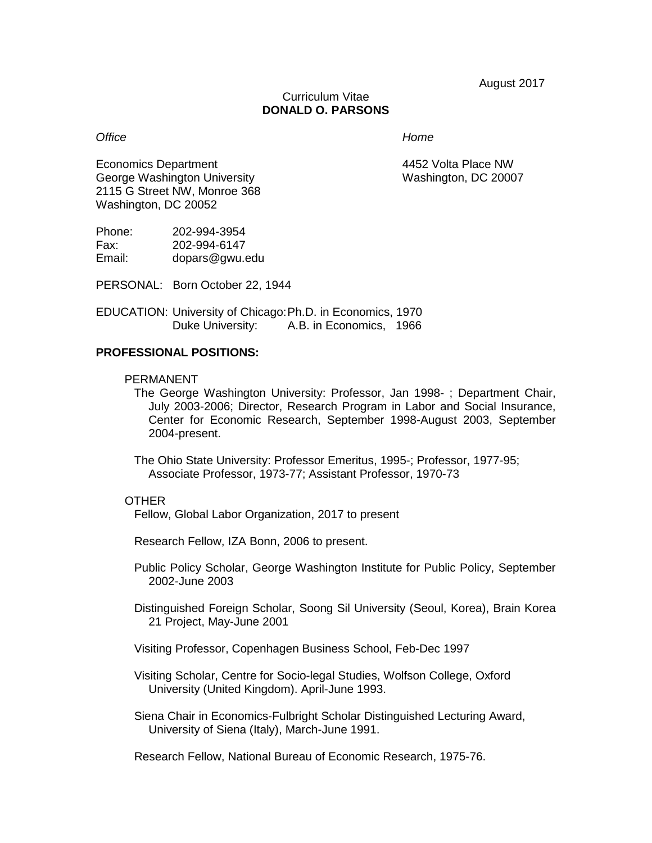August 2017

#### Curriculum Vitae **DONALD O. PARSONS**

### *Office Home*

Economics Department **1988** Consumer 2008 2009 4452 Volta Place NW George Washington University Washington, DC 20007 2115 G Street NW, Monroe 368 Washington, DC 20052

| Phone: | 202-994-3954   |
|--------|----------------|
| Fax:   | 202-994-6147   |
| Email: | dopars@gwu.edu |

PERSONAL: Born October 22, 1944

EDUCATION: University of Chicago:Ph.D. in Economics, 1970 Duke University: A.B. in Economics, 1966

#### **PROFESSIONAL POSITIONS:**

#### PERMANENT

The George Washington University: Professor, Jan 1998- ; Department Chair, July 2003-2006; Director, Research Program in Labor and Social Insurance, Center for Economic Research, September 1998-August 2003, September 2004-present.

The Ohio State University: Professor Emeritus, 1995-; Professor, 1977-95; Associate Professor, 1973-77; Assistant Professor, 1970-73

#### **OTHER**

Fellow, Global Labor Organization, 2017 to present

Research Fellow, IZA Bonn, 2006 to present.

Public Policy Scholar, George Washington Institute for Public Policy, September 2002-June 2003

Distinguished Foreign Scholar, Soong Sil University (Seoul, Korea), Brain Korea 21 Project, May-June 2001

Visiting Professor, Copenhagen Business School, Feb-Dec 1997

Visiting Scholar, Centre for Socio-legal Studies, Wolfson College, Oxford University (United Kingdom). April-June 1993.

Siena Chair in Economics-Fulbright Scholar Distinguished Lecturing Award, University of Siena (Italy), March-June 1991.

Research Fellow, National Bureau of Economic Research, 1975-76.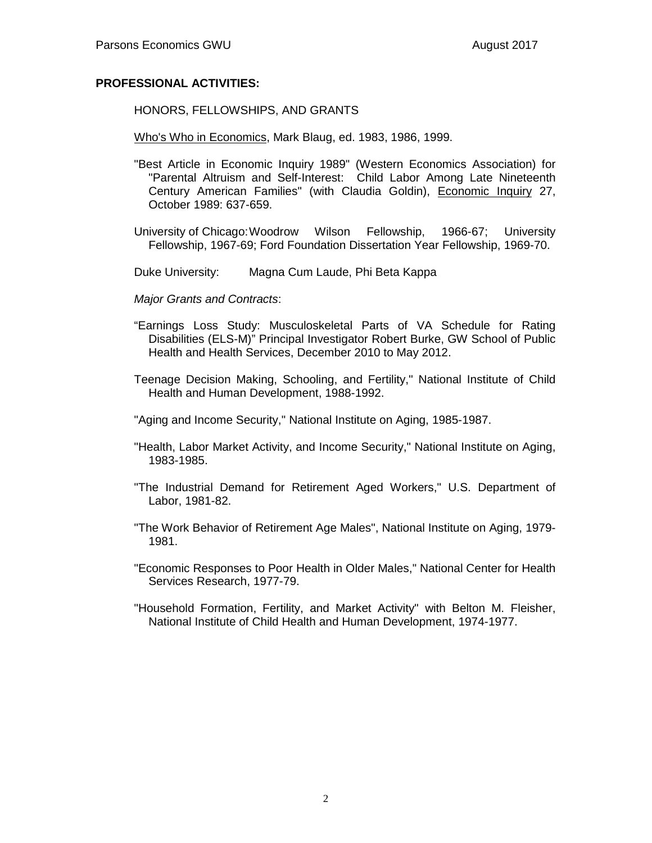### **PROFESSIONAL ACTIVITIES:**

HONORS, FELLOWSHIPS, AND GRANTS

Who's Who in Economics, Mark Blaug, ed. 1983, 1986, 1999.

- "Best Article in Economic Inquiry 1989" (Western Economics Association) for "Parental Altruism and Self-Interest: Child Labor Among Late Nineteenth Century American Families" (with Claudia Goldin), Economic Inquiry 27, October 1989: 637-659.
- University of Chicago:Woodrow Wilson Fellowship, 1966-67; University Fellowship, 1967-69; Ford Foundation Dissertation Year Fellowship, 1969-70.
- Duke University: Magna Cum Laude, Phi Beta Kappa
- *Major Grants and Contracts*:
- "Earnings Loss Study: Musculoskeletal Parts of VA Schedule for Rating Disabilities (ELS-M)" Principal Investigator Robert Burke, GW School of Public Health and Health Services, December 2010 to May 2012.
- Teenage Decision Making, Schooling, and Fertility," National Institute of Child Health and Human Development, 1988-1992.
- "Aging and Income Security," National Institute on Aging, 1985-1987.
- "Health, Labor Market Activity, and Income Security," National Institute on Aging, 1983-1985.
- "The Industrial Demand for Retirement Aged Workers," U.S. Department of Labor, 1981-82.
- "The Work Behavior of Retirement Age Males", National Institute on Aging, 1979- 1981.
- "Economic Responses to Poor Health in Older Males," National Center for Health Services Research, 1977-79.
- "Household Formation, Fertility, and Market Activity" with Belton M. Fleisher, National Institute of Child Health and Human Development, 1974-1977.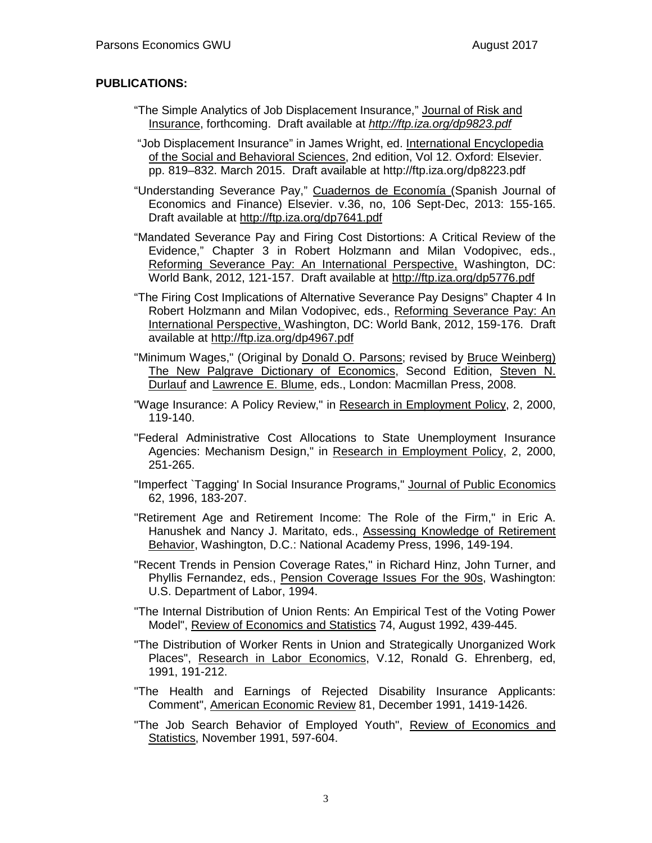### **PUBLICATIONS:**

- "The Simple Analytics of Job Displacement Insurance," Journal of Risk and Insurance, forthcoming. Draft available at *<http://ftp.iza.org/dp9823.pdf>*
- "Job Displacement Insurance" in James Wright, ed. International Encyclopedia of the Social and Behavioral Sciences, 2nd edition, Vol 12. Oxford: Elsevier. pp. 819–832. March 2015. Draft available at http://ftp.iza.org/dp8223.pdf

"Understanding Severance Pay," Cuadernos de Economía (Spanish Journal of Economics and Finance) Elsevier. v.36, no, 106 Sept-Dec, 2013: 155-165. Draft available at<http://ftp.iza.org/dp7641.pdf>

"Mandated Severance Pay and Firing Cost Distortions: A Critical Review of the Evidence," Chapter 3 in Robert Holzmann and Milan Vodopivec, eds., Reforming Severance Pay: An International Perspective, Washington, DC: World Bank, 2012, 121-157. Draft available at<http://ftp.iza.org/dp5776.pdf>

- "The Firing Cost Implications of Alternative Severance Pay Designs" Chapter 4 In Robert Holzmann and Milan Vodopivec, eds., Reforming Severance Pay: An International Perspective, Washington, DC: World Bank, 2012, 159-176. Draft available at<http://ftp.iza.org/dp4967.pdf>
- "Minimum Wages," (Original by [Donald O. Parsons;](http://www.dictionaryofeconomics.com/contributor_articles?id=ParsonsDonald) revised by [Bruce Weinberg\)](http://www.dictionaryofeconomics.com/contributor_articles?id=WeinbergBruce)  The New Palgrave Dictionary of Economics, Second Edition, Steven N. [Durlauf](http://www.dictionaryofeconomics.com/contributor_articles?id=DurlaufSteven) and [Lawrence E. Blume,](http://www.dictionaryofeconomics.com/contributor_articles?id=BlumeLawrence) eds., London: Macmillan Press, 2008.
- "Wage Insurance: A Policy Review," in Research in Employment Policy, 2, 2000, 119-140.
- "Federal Administrative Cost Allocations to State Unemployment Insurance Agencies: Mechanism Design," in Research in Employment Policy, 2, 2000, 251-265.
- "Imperfect `Tagging' In Social Insurance Programs," Journal of Public Economics 62, 1996, 183-207.
- "Retirement Age and Retirement Income: The Role of the Firm," in Eric A. Hanushek and Nancy J. Maritato, eds., Assessing Knowledge of Retirement Behavior, Washington, D.C.: National Academy Press, 1996, 149-194.
- "Recent Trends in Pension Coverage Rates," in Richard Hinz, John Turner, and Phyllis Fernandez, eds., Pension Coverage Issues For the 90s, Washington: U.S. Department of Labor, 1994.
- "The Internal Distribution of Union Rents: An Empirical Test of the Voting Power Model", Review of Economics and Statistics 74, August 1992, 439-445.
- "The Distribution of Worker Rents in Union and Strategically Unorganized Work Places", Research in Labor Economics, V.12, Ronald G. Ehrenberg, ed, 1991, 191-212.
- "The Health and Earnings of Rejected Disability Insurance Applicants: Comment", American Economic Review 81, December 1991, 1419-1426.
- "The Job Search Behavior of Employed Youth", Review of Economics and Statistics, November 1991, 597-604.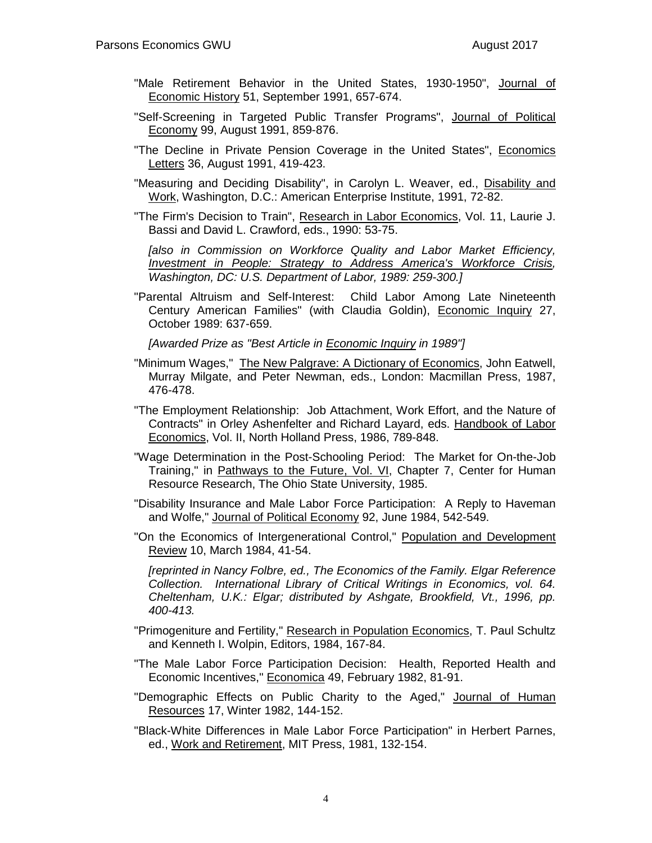- "Male Retirement Behavior in the United States, 1930-1950", Journal of Economic History 51, September 1991, 657-674.
- "Self-Screening in Targeted Public Transfer Programs", Journal of Political Economy 99, August 1991, 859-876.
- "The Decline in Private Pension Coverage in the United States", Economics Letters 36, August 1991, 419-423.
- "Measuring and Deciding Disability", in Carolyn L. Weaver, ed., Disability and Work, Washington, D.C.: American Enterprise Institute, 1991, 72-82.
- "The Firm's Decision to Train", Research in Labor Economics, Vol. 11, Laurie J. Bassi and David L. Crawford, eds., 1990: 53-75.

*[also in Commission on Workforce Quality and Labor Market Efficiency, Investment in People: Strategy to Address America's Workforce Crisis, Washington, DC: U.S. Department of Labor, 1989: 259-300.]*

"Parental Altruism and Self-Interest: Child Labor Among Late Nineteenth Century American Families" (with Claudia Goldin), Economic Inquiry 27, October 1989: 637-659.

*[Awarded Prize as "Best Article in Economic Inquiry in 1989"]*

- "Minimum Wages," The New Palgrave: A Dictionary of Economics, John Eatwell, Murray Milgate, and Peter Newman, eds., London: Macmillan Press, 1987, 476-478.
- "The Employment Relationship: Job Attachment, Work Effort, and the Nature of Contracts" in Orley Ashenfelter and Richard Layard, eds. Handbook of Labor Economics, Vol. II, North Holland Press, 1986, 789-848.
- "Wage Determination in the Post-Schooling Period: The Market for On-the-Job Training," in Pathways to the Future, Vol. VI, Chapter 7, Center for Human Resource Research, The Ohio State University, 1985.
- "Disability Insurance and Male Labor Force Participation: A Reply to Haveman and Wolfe," Journal of Political Economy 92, June 1984, 542-549.
- "On the Economics of Intergenerational Control," Population and Development Review 10, March 1984, 41-54.

*[reprinted in Nancy Folbre, ed., The Economics of the Family. Elgar Reference Collection. International Library of Critical Writings in Economics, vol. 64. Cheltenham, U.K.: Elgar; distributed by Ashgate, Brookfield, Vt., 1996, pp. 400-413.*

- "Primogeniture and Fertility," Research in Population Economics, T. Paul Schultz and Kenneth I. Wolpin, Editors, 1984, 167-84.
- "The Male Labor Force Participation Decision: Health, Reported Health and Economic Incentives," Economica 49, February 1982, 81-91.
- "Demographic Effects on Public Charity to the Aged," Journal of Human Resources 17, Winter 1982, 144-152.
- "Black-White Differences in Male Labor Force Participation" in Herbert Parnes, ed., Work and Retirement, MIT Press, 1981, 132-154.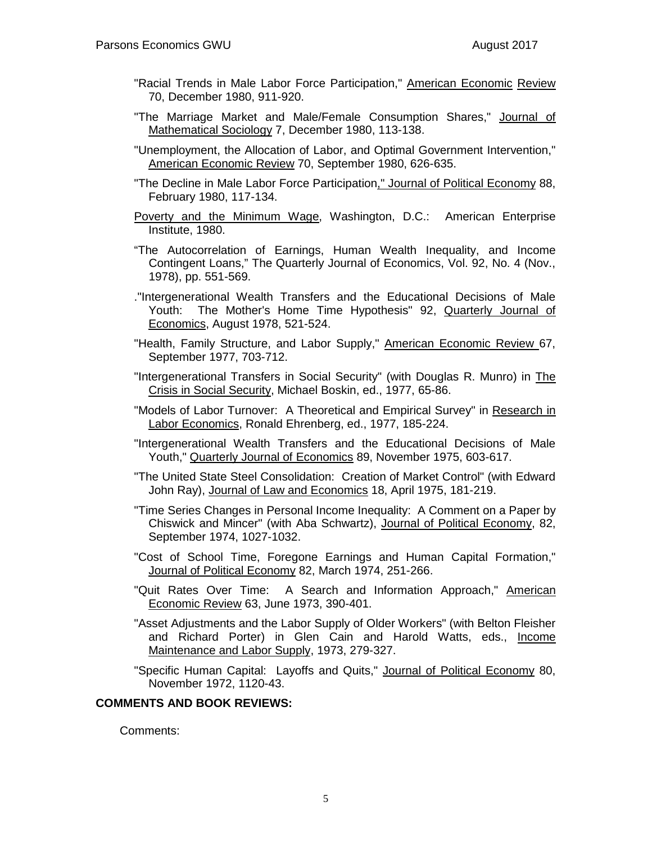- "Racial Trends in Male Labor Force Participation," American Economic Review 70, December 1980, 911-920.
- "The Marriage Market and Male/Female Consumption Shares," Journal of Mathematical Sociology 7, December 1980, 113-138.
- "Unemployment, the Allocation of Labor, and Optimal Government Intervention," American Economic Review 70, September 1980, 626-635.
- "The Decline in Male Labor Force Participation," Journal of Political Economy 88, February 1980, 117-134.
- Poverty and the Minimum Wage, Washington, D.C.: American Enterprise Institute, 1980.
- "The Autocorrelation of Earnings, Human Wealth Inequality, and Income Contingent Loans," The Quarterly Journal of Economics, Vol. 92, No. 4 (Nov., 1978), pp. 551-569.
- ."Intergenerational Wealth Transfers and the Educational Decisions of Male Youth: The Mother's Home Time Hypothesis" 92, Quarterly Journal of Economics, August 1978, 521-524.
- "Health, Family Structure, and Labor Supply," American Economic Review 67, September 1977, 703-712.
- "Intergenerational Transfers in Social Security" (with Douglas R. Munro) in The Crisis in Social Security, Michael Boskin, ed., 1977, 65-86.
- "Models of Labor Turnover: A Theoretical and Empirical Survey" in Research in Labor Economics, Ronald Ehrenberg, ed., 1977, 185-224.
- "Intergenerational Wealth Transfers and the Educational Decisions of Male Youth," Quarterly Journal of Economics 89, November 1975, 603-617.
- "The United State Steel Consolidation: Creation of Market Control" (with Edward John Ray), Journal of Law and Economics 18, April 1975, 181-219.
- "Time Series Changes in Personal Income Inequality: A Comment on a Paper by Chiswick and Mincer" (with Aba Schwartz), Journal of Political Economy, 82, September 1974, 1027-1032.
- "Cost of School Time, Foregone Earnings and Human Capital Formation," Journal of Political Economy 82, March 1974, 251-266.
- "Quit Rates Over Time: A Search and Information Approach," American Economic Review 63, June 1973, 390-401.
- "Asset Adjustments and the Labor Supply of Older Workers" (with Belton Fleisher and Richard Porter) in Glen Cain and Harold Watts, eds., Income Maintenance and Labor Supply, 1973, 279-327.
- "Specific Human Capital: Layoffs and Quits," Journal of Political Economy 80, November 1972, 1120-43.

### **COMMENTS AND BOOK REVIEWS:**

Comments: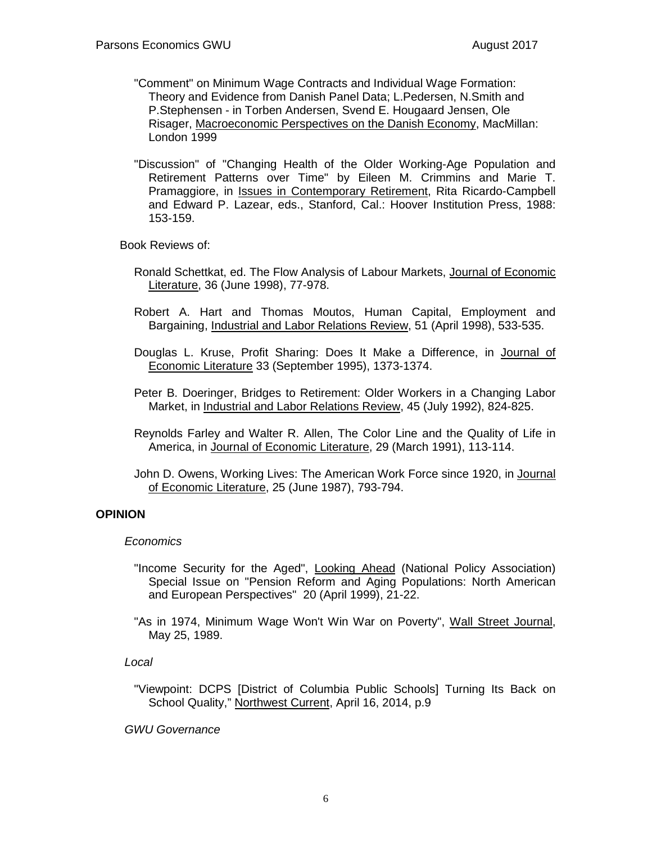- "Comment" on Minimum Wage Contracts and Individual Wage Formation: Theory and Evidence from Danish Panel Data; L.Pedersen, N.Smith and P.Stephensen - in Torben Andersen, Svend E. Hougaard Jensen, Ole Risager, Macroeconomic Perspectives on the Danish Economy, MacMillan: London 1999
- "Discussion" of "Changing Health of the Older Working-Age Population and Retirement Patterns over Time" by Eileen M. Crimmins and Marie T. Pramaggiore, in Issues in Contemporary Retirement, Rita Ricardo-Campbell and Edward P. Lazear, eds., Stanford, Cal.: Hoover Institution Press, 1988: 153-159.

Book Reviews of:

- Ronald Schettkat, ed. The Flow Analysis of Labour Markets, Journal of Economic Literature, 36 (June 1998), 77-978.
- Robert A. Hart and Thomas Moutos, Human Capital, Employment and Bargaining, Industrial and Labor Relations Review, 51 (April 1998), 533-535.
- Douglas L. Kruse, Profit Sharing: Does It Make a Difference, in Journal of Economic Literature 33 (September 1995), 1373-1374.
- Peter B. Doeringer, Bridges to Retirement: Older Workers in a Changing Labor Market, in Industrial and Labor Relations Review, 45 (July 1992), 824-825.
- Reynolds Farley and Walter R. Allen, The Color Line and the Quality of Life in America, in Journal of Economic Literature, 29 (March 1991), 113-114.
- John D. Owens, Working Lives: The American Work Force since 1920, in Journal of Economic Literature, 25 (June 1987), 793-794.

### **OPINION**

### *Economics*

- "Income Security for the Aged", Looking Ahead (National Policy Association) Special Issue on "Pension Reform and Aging Populations: North American and European Perspectives" 20 (April 1999), 21-22.
- "As in 1974, Minimum Wage Won't Win War on Poverty", Wall Street Journal, May 25, 1989.

### *Local*

"Viewpoint: DCPS [District of Columbia Public Schools] Turning Its Back on School Quality," Northwest Current, April 16, 2014, p.9

*GWU Governance*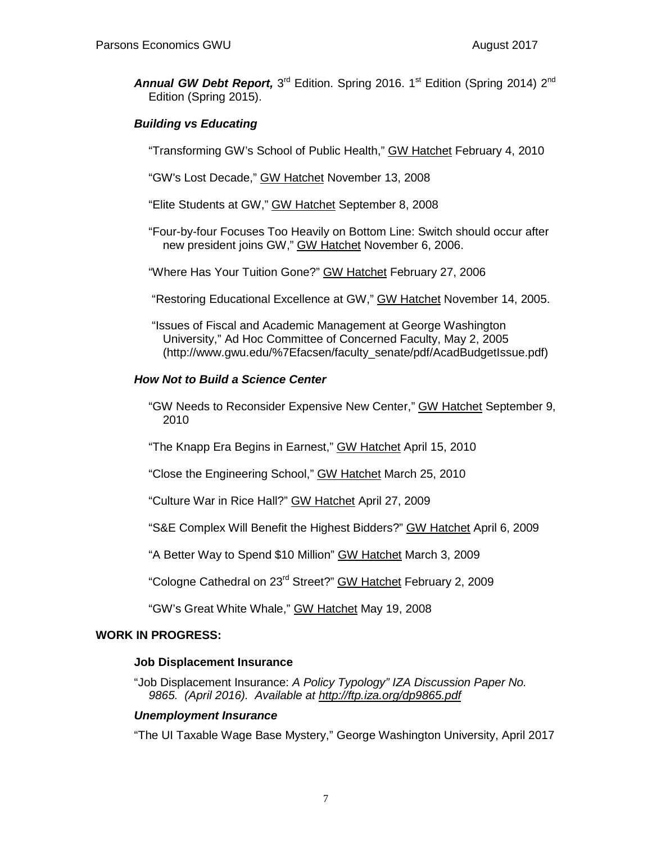Annual GW Debt Report, 3<sup>rd</sup> Edition. Spring 2016. 1<sup>st</sup> Edition (Spring 2014) 2<sup>nd</sup> Edition (Spring 2015).

# *Building vs Educating*

"Transforming GW's School of Public Health," GW Hatchet February 4, 2010

"GW's Lost Decade," GW Hatchet November 13, 2008

"Elite Students at GW," GW Hatchet September 8, 2008

"Four-by-four Focuses Too Heavily on Bottom Line: Switch should occur after new president joins GW," GW Hatchet November 6, 2006.

"Where Has Your Tuition Gone?" GW Hatchet February 27, 2006

"Restoring Educational Excellence at GW," GW Hatchet November 14, 2005.

"Issues of Fiscal and Academic Management at George Washington University," Ad Hoc Committee of Concerned Faculty, May 2, 2005 (http://www.gwu.edu/%7Efacsen/faculty\_senate/pdf/AcadBudgetIssue.pdf)

### *How Not to Build a Science Center*

"GW Needs to Reconsider Expensive New Center," GW Hatchet September 9, 2010

"The Knapp Era Begins in Earnest," GW Hatchet April 15, 2010

"Close the Engineering School," GW Hatchet March 25, 2010

"Culture War in Rice Hall?" GW Hatchet April 27, 2009

"S&E Complex Will Benefit the Highest Bidders?" GW Hatchet April 6, 2009

"A Better Way to Spend \$10 Million" GW Hatchet March 3, 2009

"Cologne Cathedral on 23rd Street?" GW Hatchet February 2, 2009

"GW's Great White Whale," GW Hatchet May 19, 2008

### **WORK IN PROGRESS:**

### **Job Displacement Insurance**

"Job Displacement Insurance: *A Policy Typology" IZA Discussion Paper No. 9865. (April 2016). Available at<http://ftp.iza.org/dp9865.pdf>*

### *Unemployment Insurance*

"The UI Taxable Wage Base Mystery," George Washington University, April 2017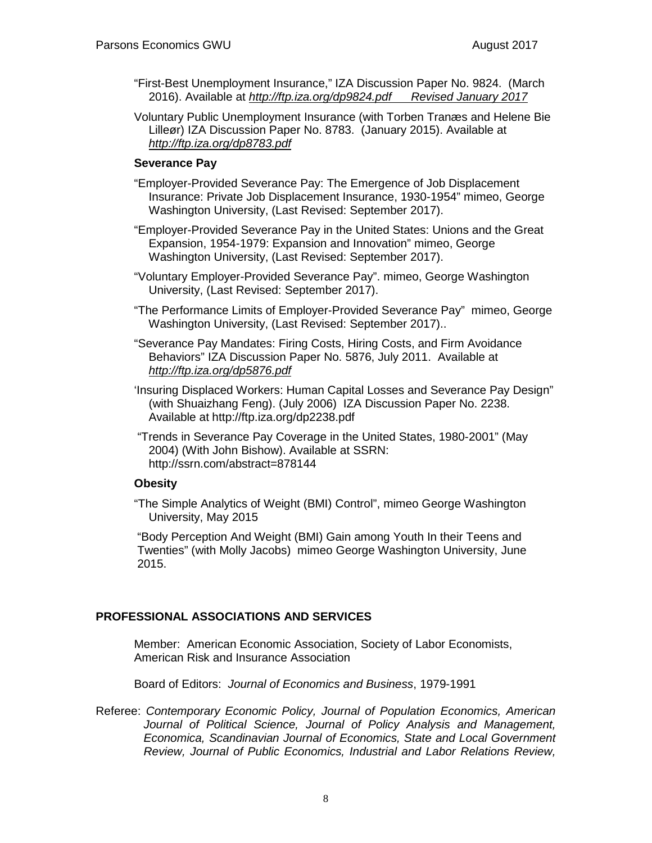- "First-Best Unemployment Insurance," IZA Discussion Paper No. 9824. (March 2016). Available at *<http://ftp.iza.org/dp9824.pdf>Revised January 2017*
- Voluntary Public Unemployment Insurance (with Torben Tranæs and Helene Bie Lilleør) IZA Discussion Paper No. 8783. (January 2015). Available at *<http://ftp.iza.org/dp8783.pdf>*

# **Severance Pay**

- "Employer-Provided Severance Pay: The Emergence of Job Displacement Insurance: Private Job Displacement Insurance, 1930-1954" mimeo, George Washington University, (Last Revised: September 2017).
- "Employer-Provided Severance Pay in the United States: Unions and the Great Expansion, 1954-1979: Expansion and Innovation" mimeo, George Washington University, (Last Revised: September 2017).
- "Voluntary Employer-Provided Severance Pay". mimeo, George Washington University, (Last Revised: September 2017).
- "The Performance Limits of Employer-Provided Severance Pay" mimeo, George Washington University, (Last Revised: September 2017)..
- "Severance Pay Mandates: Firing Costs, Hiring Costs, and Firm Avoidance Behaviors" IZA Discussion Paper No. 5876, July 2011. Available at *<http://ftp.iza.org/dp5876.pdf>*
- 'Insuring Displaced Workers: Human Capital Losses and Severance Pay Design" (with Shuaizhang Feng). (July 2006) IZA Discussion Paper No. 2238. Available at <http://ftp.iza.org/dp2238.pdf>
- "Trends in Severance Pay Coverage in the United States, 1980-2001" (May 2004) (With John Bishow). Available at SSRN: <http://ssrn.com/abstract=878144>

### **Obesity**

"The Simple Analytics of Weight (BMI) Control", mimeo George Washington University, May 2015

"Body Perception And Weight (BMI) Gain among Youth In their Teens and Twenties" (with Molly Jacobs) mimeo George Washington University, June 2015.

# **PROFESSIONAL ASSOCIATIONS AND SERVICES**

Member: American Economic Association, Society of Labor Economists, American Risk and Insurance Association

Board of Editors: *Journal of Economics and Business*, 1979-1991

Referee: *Contemporary Economic Policy, Journal of Population Economics, American Journal of Political Science, Journal of Policy Analysis and Management, Economica, Scandinavian Journal of Economics, State and Local Government Review, Journal of Public Economics, Industrial and Labor Relations Review,*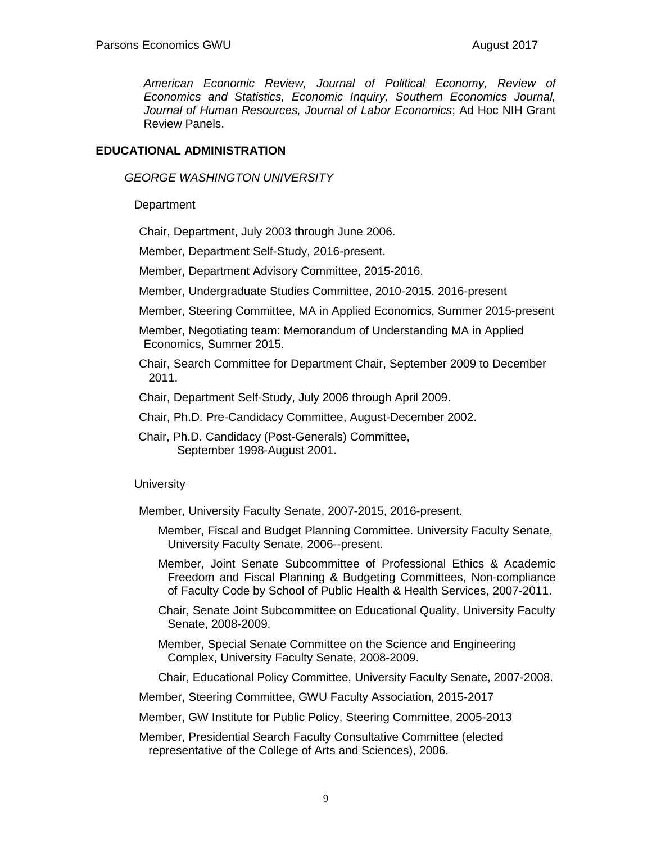*American Economic Review, Journal of Political Economy, Review of Economics and Statistics, Economic Inquiry, Southern Economics Journal, Journal of Human Resources, Journal of Labor Economics*; Ad Hoc NIH Grant Review Panels.

### **EDUCATIONAL ADMINISTRATION**

*GEORGE WASHINGTON UNIVERSITY*

**Department** 

Chair, Department, July 2003 through June 2006.

Member, Department Self-Study, 2016-present.

Member, Department Advisory Committee, 2015-2016.

Member, Undergraduate Studies Committee, 2010-2015. 2016-present

Member, Steering Committee, MA in Applied Economics, Summer 2015-present

Member, Negotiating team: Memorandum of Understanding MA in Applied Economics, Summer 2015.

Chair, Search Committee for Department Chair, September 2009 to December 2011.

Chair, Department Self-Study, July 2006 through April 2009.

Chair, Ph.D. Pre-Candidacy Committee, August-December 2002.

Chair, Ph.D. Candidacy (Post-Generals) Committee, September 1998-August 2001.

**University** 

Member, University Faculty Senate, 2007-2015, 2016-present.

- Member, Fiscal and Budget Planning Committee. University Faculty Senate, University Faculty Senate, 2006--present.
- Member, Joint Senate Subcommittee of Professional Ethics & Academic Freedom and Fiscal Planning & Budgeting Committees, Non-compliance of Faculty Code by School of Public Health & Health Services, 2007-2011.
- Chair, Senate Joint Subcommittee on Educational Quality, University Faculty Senate, 2008-2009.
- Member, Special Senate Committee on the Science and Engineering Complex, University Faculty Senate, 2008-2009.

Chair, Educational Policy Committee, University Faculty Senate, 2007-2008.

Member, Steering Committee, GWU Faculty Association, 2015-2017

Member, GW Institute for Public Policy, Steering Committee, 2005-2013

Member, Presidential Search Faculty Consultative Committee (elected representative of the College of Arts and Sciences), 2006.